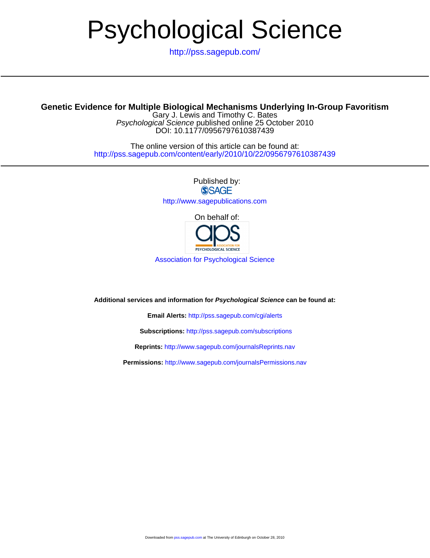# Psychological Science

<http://pss.sagepub.com/>

## **Genetic Evidence for Multiple Biological Mechanisms Underlying In-Group Favoritism**

DOI: 10.1177/0956797610387439 Psychological Science published online 25 October 2010 Gary J. Lewis and Timothy C. Bates

<http://pss.sagepub.com/content/early/2010/10/22/0956797610387439> The online version of this article can be found at:

> Published by: **SSAGE** <http://www.sagepublications.com>

> > On behalf of:



[Association for Psychological Science](http://www.psychologicalscience.org/)

**Additional services and information for Psychological Science can be found at:**

**Email Alerts:** <http://pss.sagepub.com/cgi/alerts>

**Subscriptions:** <http://pss.sagepub.com/subscriptions>

**Reprints:** <http://www.sagepub.com/journalsReprints.nav>

**Permissions:** <http://www.sagepub.com/journalsPermissions.nav>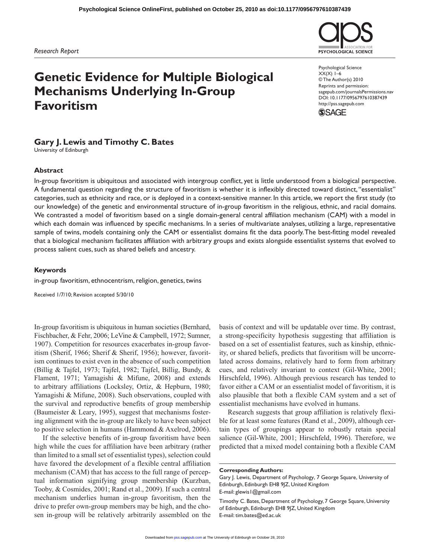*Research Report*

# **Genetic Evidence for Multiple Biological Mechanisms Underlying In-Group Favoritism**

Psychological Science  $XX(X)$  1–6 © The Author(s) 2010 Reprints and permission: sagepub.com/journalsPermissions.nav DOI: 10.1177/0956797610387439 http://pss.sagepub.com

**PSYCHOLOGICAL SCIENCE** 



### **Gary J. Lewis and Timothy C. Bates**

University of Edinburgh

#### **Abstract**

In-group favoritism is ubiquitous and associated with intergroup conflict, yet is little understood from a biological perspective. A fundamental question regarding the structure of favoritism is whether it is inflexibly directed toward distinct, "essentialist" categories, such as ethnicity and race, or is deployed in a context-sensitive manner. In this article, we report the first study (to our knowledge) of the genetic and environmental structure of in-group favoritism in the religious, ethnic, and racial domains. We contrasted a model of favoritism based on a single domain-general central affiliation mechanism (CAM) with a model in which each domain was influenced by specific mechanisms. In a series of multivariate analyses, utilizing a large, representative sample of twins, models containing only the CAM or essentialist domains fit the data poorly. The best-fitting model revealed that a biological mechanism facilitates affiliation with arbitrary groups and exists alongside essentialist systems that evolved to process salient cues, such as shared beliefs and ancestry.

#### **Keywords**

in-group favoritism, ethnocentrism, religion, genetics, twins

Received 1/7/10; Revision accepted 5/30/10

In-group favoritism is ubiquitous in human societies (Bernhard, Fischbacher, & Fehr, 2006; LeVine & Campbell, 1972; Sumner, 1907). Competition for resources exacerbates in-group favoritism (Sherif, 1966; Sherif & Sherif, 1956); however, favoritism continues to exist even in the absence of such competition (Billig & Tajfel, 1973; Tajfel, 1982; Tajfel, Billig, Bundy, & Flament, 1971; Yamagishi & Mifune, 2008) and extends to arbitrary affiliations (Locksley, Ortiz, & Hepburn, 1980; Yamagishi & Mifune, 2008). Such observations, coupled with the survival and reproductive benefits of group membership (Baumeister & Leary, 1995), suggest that mechanisms fostering alignment with the in-group are likely to have been subject to positive selection in humans (Hammond & Axelrod, 2006).

If the selective benefits of in-group favoritism have been high while the cues for affiliation have been arbitrary (rather than limited to a small set of essentialist types), selection could have favored the development of a flexible central affiliation mechanism (CAM) that has access to the full range of perceptual information signifying group membership (Kurzban, Tooby, & Cosmides, 2001; Rand et al., 2009). If such a central mechanism underlies human in-group favoritism, then the drive to prefer own-group members may be high, and the chosen in-group will be relatively arbitrarily assembled on the

basis of context and will be updatable over time. By contrast, a strong-specificity hypothesis suggesting that affiliation is based on a set of essentialist features, such as kinship, ethnicity, or shared beliefs, predicts that favoritism will be uncorrelated across domains, relatively hard to form from arbitrary cues, and relatively invariant to context (Gil-White, 2001; Hirschfeld, 1996). Although previous research has tended to favor either a CAM or an essentialist model of favoritism, it is also plausible that both a flexible CAM system and a set of essentialist mechanisms have evolved in humans.

Research suggests that group affiliation is relatively flexible for at least some features (Rand et al., 2009), although certain types of groupings appear to robustly retain special salience (Gil-White, 2001; Hirschfeld, 1996). Therefore, we predicted that a mixed model containing both a flexible CAM

**Corresponding Authors:**

Gary J. Lewis, Department of Psychology, 7 George Square, University of Edinburgh, Edinburgh EH8 9JZ, United Kingdom E-mail: glewis1@gmail.com

Timothy C. Bates, Department of Psychology, 7 George Square, University of Edinburgh, Edinburgh EH8 9JZ, United Kingdom E-mail: tim.bates@ed.ac.uk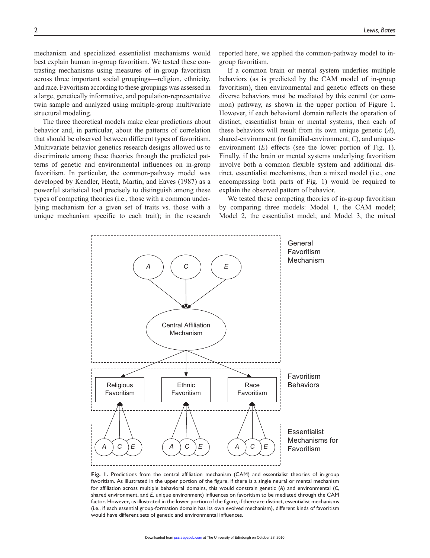mechanism and specialized essentialist mechanisms would best explain human in-group favoritism. We tested these contrasting mechanisms using measures of in-group favoritism across three important social groupings—religion, ethnicity, and race. Favoritism according to these groupings was assessed in a large, genetically informative, and population-representative twin sample and analyzed using multiple-group multivariate structural modeling.

The three theoretical models make clear predictions about behavior and, in particular, about the patterns of correlation that should be observed between different types of favoritism. Multivariate behavior genetics research designs allowed us to discriminate among these theories through the predicted patterns of genetic and environmental influences on in-group favoritism. In particular, the common-pathway model was developed by Kendler, Heath, Martin, and Eaves (1987) as a powerful statistical tool precisely to distinguish among these types of competing theories (i.e., those with a common underlying mechanism for a given set of traits vs. those with a unique mechanism specific to each trait); in the research

reported here, we applied the common-pathway model to ingroup favoritism.

If a common brain or mental system underlies multiple behaviors (as is predicted by the CAM model of in-group favoritism), then environmental and genetic effects on these diverse behaviors must be mediated by this central (or common) pathway, as shown in the upper portion of Figure 1. However, if each behavioral domain reflects the operation of distinct, essentialist brain or mental systems, then each of these behaviors will result from its own unique genetic (*A*), shared-environment (or familial-environment; *C*), and uniqueenvironment (*E*) effects (see the lower portion of Fig. 1). Finally, if the brain or mental systems underlying favoritism involve both a common flexible system and additional distinct, essentialist mechanisms, then a mixed model (i.e., one encompassing both parts of Fig. 1) would be required to explain the observed pattern of behavior.

We tested these competing theories of in-group favoritism by comparing three models: Model 1, the CAM model; Model 2, the essentialist model; and Model 3, the mixed



**Fig. 1.** Predictions from the central affiliation mechanism (CAM) and essentialist theories of in-group favoritism. As illustrated in the upper portion of the figure, if there is a single neural or mental mechanism for affiliation across multiple behavioral domains, this would constrain genetic (*A*) and environmental (*C*, shared environment, and *E*, unique environment) influences on favoritism to be mediated through the CAM factor. However, as illustrated in the lower portion of the figure, if there are distinct, essentialist mechanisms (i.e., if each essential group-formation domain has its own evolved mechanism), different kinds of favoritism would have different sets of genetic and environmental influences.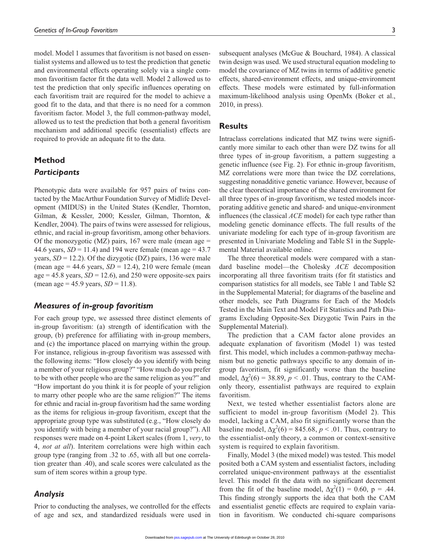model. Model 1 assumes that favoritism is not based on essentialist systems and allowed us to test the prediction that genetic and environmental effects operating solely via a single common favoritism factor fit the data well. Model 2 allowed us to test the prediction that only specific influences operating on each favoritism trait are required for the model to achieve a good fit to the data, and that there is no need for a common favoritism factor. Model 3, the full common-pathway model, allowed us to test the prediction that both a general favoritism mechanism and additional specific (essentialist) effects are required to provide an adequate fit to the data.

# **Method** *Participants*

Phenotypic data were available for 957 pairs of twins contacted by the MacArthur Foundation Survey of Midlife Development (MIDUS) in the United States (Kendler, Thornton, Gilman, & Kessler, 2000; Kessler, Gilman, Thornton, & Kendler, 2004). The pairs of twins were assessed for religious, ethnic, and racial in-group favoritism, among other behaviors. Of the monozygotic (MZ) pairs, 167 were male (mean age  $=$ 44.6 years,  $SD = 11.4$ ) and 194 were female (mean age = 43.7) years,  $SD = 12.2$ ). Of the dizygotic (DZ) pairs, 136 were male (mean age  $= 44.6$  years,  $SD = 12.4$ ), 210 were female (mean age =  $45.8$  years,  $SD = 12.6$ ), and 250 were opposite-sex pairs (mean age = 45.9 years, *SD* = 11.8).

#### *Measures of in-group favoritism*

For each group type, we assessed three distinct elements of in-group favoritism: (a) strength of identification with the group, (b) preference for affiliating with in-group members, and (c) the importance placed on marrying within the group. For instance, religious in-group favoritism was assessed with the following items: "How closely do you identify with being a member of your religious group?" "How much do you prefer to be with other people who are the same religion as you?" and "How important do you think it is for people of your religion to marry other people who are the same religion?" The items for ethnic and racial in-group favoritism had the same wording as the items for religious in-group favoritism, except that the appropriate group type was substituted (e.g., "How closely do you identify with being a member of your racial group?"). All responses were made on 4-point Likert scales (from 1, *very*, to 4, *not at all*). Interitem correlations were high within each group type (ranging from .32 to .65, with all but one correlation greater than .40), and scale scores were calculated as the sum of item scores within a group type.

#### *Analysis*

Prior to conducting the analyses, we controlled for the effects of age and sex, and standardized residuals were used in

subsequent analyses (McGue & Bouchard, 1984). A classical twin design was used. We used structural equation modeling to model the covariance of MZ twins in terms of additive genetic effects, shared-environment effects, and unique-environment effects. These models were estimated by full-information maximum-likelihood analysis using OpenMx (Boker et al., 2010, in press).

#### **Results**

Intraclass correlations indicated that MZ twins were significantly more similar to each other than were DZ twins for all three types of in-group favoritism, a pattern suggesting a genetic influence (see Fig. 2). For ethnic in-group favoritism, MZ correlations were more than twice the DZ correlations, suggesting nonadditive genetic variance. However, because of the clear theoretical importance of the shared environment for all three types of in-group favoritism, we tested models incorporating additive genetic and shared- and unique-environment influences (the classical *ACE* model) for each type rather than modeling genetic dominance effects. The full results of the univariate modeling for each type of in-group favoritism are presented in Univariate Modeling and Table S1 in the Supplemental Material available online.

The three theoretical models were compared with a standard baseline model—the Cholesky *ACE* decomposition incorporating all three favoritism traits (for fit statistics and comparison statistics for all models, see Table 1 and Table S2 in the Supplemental Material; for diagrams of the baseline and other models, see Path Diagrams for Each of the Models Tested in the Main Text and Model Fit Statistics and Path Diagrams Excluding Opposite-Sex Dizygotic Twin Pairs in the Supplemental Material).

The prediction that a CAM factor alone provides an adequate explanation of favoritism (Model 1) was tested first. This model, which includes a common-pathway mechanism but no genetic pathways specific to any domain of ingroup favoritism, fit significantly worse than the baseline model,  $\Delta \chi^2(6) = 38.89$ ,  $p < .01$ . Thus, contrary to the CAMonly theory, essentialist pathways are required to explain favoritism.

Next, we tested whether essentialist factors alone are sufficient to model in-group favoritism (Model 2). This model, lacking a CAM, also fit significantly worse than the baseline model,  $\Delta \chi^2(6) = 845.68$ ,  $p < .01$ . Thus, contrary to the essentialist-only theory, a common or context-sensitive system is required to explain favoritism.

Finally, Model 3 (the mixed model) was tested. This model posited both a CAM system and essentialist factors, including correlated unique-environment pathways at the essentialist level. This model fit the data with no significant decrement from the fit of the baseline model,  $\Delta \chi^2(1) = 0.60$ , p = .44. This finding strongly supports the idea that both the CAM and essentialist genetic effects are required to explain variation in favoritism. We conducted chi-square comparisons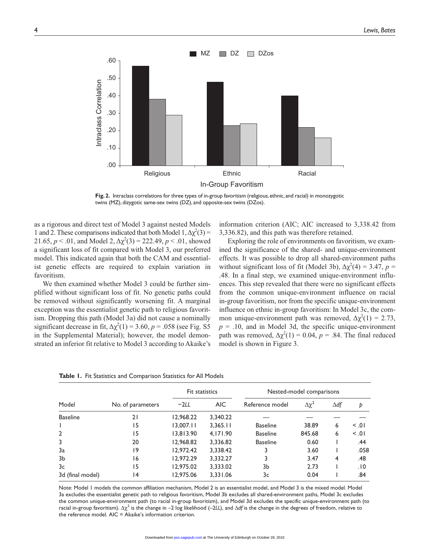

**Fig. 2.** Intraclass correlations for three types of in-group favoritism (religious, ethnic, and racial) in monozygotic twins (MZ), dizygotic same-sex twins (DZ), and opposite-sex twins (DZos).

as a rigorous and direct test of Model 3 against nested Models 1 and 2. These comparisons indicated that both Model  $1, \Delta \chi^2(3) =$ 21.65,  $p < .01$ , and Model 2,  $\Delta \chi^2(3) = 222.49$ ,  $p < .01$ , showed a significant loss of fit compared with Model 3, our preferred model. This indicated again that both the CAM and essentialist genetic effects are required to explain variation in favoritism.

We then examined whether Model 3 could be further simplified without significant loss of fit. No genetic paths could be removed without significantly worsening fit. A marginal exception was the essentialist genetic path to religious favoritism. Dropping this path (Model 3a) did not cause a nominally significant decrease in fit,  $\Delta \chi^2(1) = 3.60$ ,  $p = .058$  (see Fig. S5) in the Supplemental Material); however, the model demonstrated an inferior fit relative to Model 3 according to Akaike's

information criterion (AIC; AIC increased to 3,338.42 from 3,336.82), and this path was therefore retained.

Exploring the role of environments on favoritism, we examined the significance of the shared- and unique-environment effects. It was possible to drop all shared-environment paths without significant loss of fit (Model 3b),  $\Delta \chi^2(4) = 3.47$ ,  $p =$ .48. In a final step, we examined unique-environment influences. This step revealed that there were no significant effects from the common unique-environment influence on racial in-group favoritism, nor from the specific unique-environment influence on ethnic in-group favoritism: In Model 3c, the common unique-environment path was removed,  $\Delta \chi^2(1) = 2.73$ ,  $p = .10$ , and in Model 3d, the specific unique-environment path was removed,  $\Delta \chi^2(1) = 0.04$ ,  $p = .84$ . The final reduced model is shown in Figure 3.

| Model            | No. of parameters | Fit statistics |          | Nested-model comparisons |                 |             |        |
|------------------|-------------------|----------------|----------|--------------------------|-----------------|-------------|--------|
|                  |                   | $-2LL$         | AIC.     | Reference model          | $\Delta \chi^2$ | $\Delta$ df | Þ      |
| <b>Baseline</b>  | 21                | 12,968.22      | 3,340.22 |                          |                 |             |        |
|                  | 15                | 13.007.11      | 3.365.11 | <b>Baseline</b>          | 38.89           | 6           | < 0.01 |
| $\overline{2}$   | 15                | 13.813.90      | 4,171.90 | <b>Baseline</b>          | 845.68          | 6           | 0.     |
| 3                | 20                | 12,968.82      | 3,336.82 | <b>Baseline</b>          | 0.60            |             | .44    |
| 3a               | 19                | 12.972.42      | 3.338.42 | 3                        | 3.60            |             | .058   |
| 3b               | 16                | 12,972.29      | 3,332.27 | 3                        | 3.47            | 4           | .48    |
| 3c               | 15                | 12,975.02      | 3,333.02 | 3b                       | 2.73            |             | .10    |
| 3d (final model) | 14                | 12.975.06      | 3,331.06 | 3c                       | 0.04            |             | .84    |

**Table 1.** Fit Statistics and Comparison Statistics for All Models

Note: Model 1 models the common affiliation mechanism, Model 2 is an essentialist model, and Model 3 is the mixed model. Model 3a excludes the essentialist genetic path to religious favoritism, Model 3b excludes all shared-environment paths, Model 3c excludes the common unique-environment path (to racial in-group favoritism), and Model 3d excludes the specific unique-environment path (to racial in-group favoritism). Δχ<sup>2</sup> is the change in –2 log likelihood (–2*LL*), and Δ*df* is the change in the degrees of freedom, relative to the reference model. AIC = Akaike's information criterion.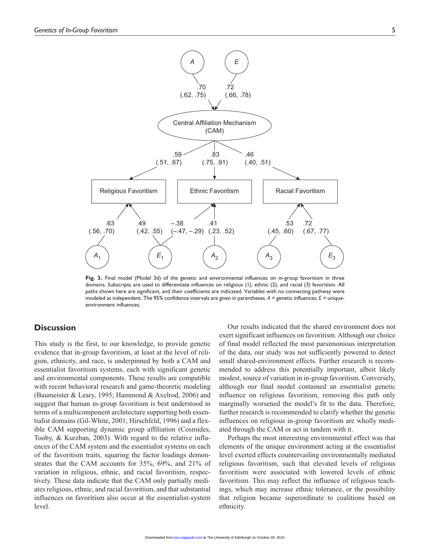

**Fig. 3.** Final model (Model 3d) of the genetic and environmental influences on in-group favoritism in three domains. Subscripts are used to differentiate influences on religious (1), ethnic (2), and racial (3) favoritism. All paths shown here are significant, and their coefficients are indicated. Variables with no connecting pathway were modeled as independent. The 95% confidence intervals are given in parentheses.  $A =$  genetic influences;  $E =$  uniqueenvironment influences.

#### **Discussion**

This study is the first, to our knowledge, to provide genetic evidence that in-group favoritism, at least at the level of religion, ethnicity, and race, is underpinned by both a CAM and essentialist favoritism systems, each with significant genetic and environmental components. These results are compatible with recent behavioral research and game-theoretic modeling (Baumeister & Leary, 1995; Hammond & Axelrod, 2006) and suggest that human in-group favoritism is best understood in terms of a multicomponent architecture supporting both essentialist domains (Gil-White, 2001; Hirschfeld, 1996) and a flexible CAM supporting dynamic group affiliation (Cosmides, Tooby, & Kurzban, 2003). With regard to the relative influences of the CAM system and the essentialist systems on each of the favoritism traits, squaring the factor loadings demonstrates that the CAM accounts for 35%, 69%, and 21% of variation in religious, ethnic, and racial favoritism, respectively. These data indicate that the CAM only partially mediates religious, ethnic, and racial favoritism, and that substantial influences on favoritism also occur at the essentialist-system level.

Our results indicated that the shared environment does not exert significant influences on favoritism. Although our choice of final model reflected the most parsimonious interpretation of the data, our study was not sufficiently powered to detect small shared-environment effects. Further research is recommended to address this potentially important, albeit likely modest, source of variation in in-group favoritism. Conversely, although our final model contained an essentialist genetic influence on religious favoritism, removing this path only marginally worsened the model's fit to the data. Therefore, further research is recommended to clarify whether the genetic influences on religious in-group favoritism are wholly mediated through the CAM or act in tandem with it.

Perhaps the most interesting environmental effect was that elements of the unique environment acting at the essentialist level exerted effects countervailing environmentally mediated religious favoritism, such that elevated levels of religious favoritism were associated with lowered levels of ethnic favoritism. This may reflect the influence of religious teachings, which may increase ethnic tolerance, or the possibility that religion became superordinate to coalitions based on ethnicity.